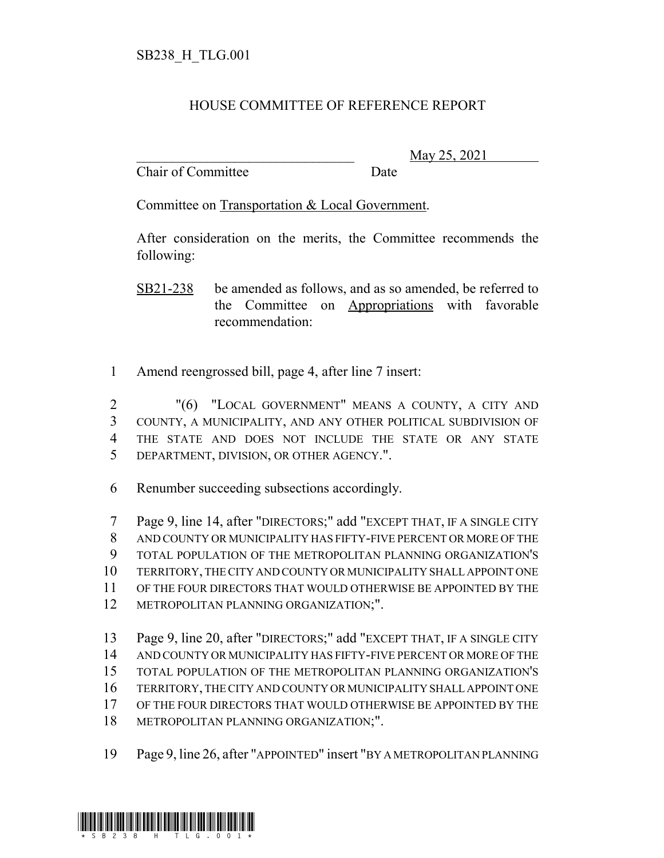## HOUSE COMMITTEE OF REFERENCE REPORT

Chair of Committee Date

\_\_\_\_\_\_\_\_\_\_\_\_\_\_\_\_\_\_\_\_\_\_\_\_\_\_\_\_\_\_\_ May 25, 2021

Committee on Transportation & Local Government.

After consideration on the merits, the Committee recommends the following:

SB21-238 be amended as follows, and as so amended, be referred to the Committee on Appropriations with favorable recommendation:

Amend reengrossed bill, page 4, after line 7 insert:

 "(6) "LOCAL GOVERNMENT" MEANS A COUNTY, A CITY AND COUNTY, A MUNICIPALITY, AND ANY OTHER POLITICAL SUBDIVISION OF THE STATE AND DOES NOT INCLUDE THE STATE OR ANY STATE DEPARTMENT, DIVISION, OR OTHER AGENCY.".

Renumber succeeding subsections accordingly.

 Page 9, line 14, after "DIRECTORS;" add "EXCEPT THAT, IF A SINGLE CITY AND COUNTY OR MUNICIPALITY HAS FIFTY-FIVE PERCENT OR MORE OF THE TOTAL POPULATION OF THE METROPOLITAN PLANNING ORGANIZATION'S TERRITORY, THE CITY AND COUNTY OR MUNICIPALITY SHALL APPOINT ONE OF THE FOUR DIRECTORS THAT WOULD OTHERWISE BE APPOINTED BY THE METROPOLITAN PLANNING ORGANIZATION;". Page 9, line 20, after "DIRECTORS;" add "EXCEPT THAT, IF A SINGLE CITY

 AND COUNTY OR MUNICIPALITY HAS FIFTY-FIVE PERCENT OR MORE OF THE TOTAL POPULATION OF THE METROPOLITAN PLANNING ORGANIZATION'S TERRITORY, THE CITY AND COUNTY OR MUNICIPALITY SHALL APPOINT ONE OF THE FOUR DIRECTORS THAT WOULD OTHERWISE BE APPOINTED BY THE METROPOLITAN PLANNING ORGANIZATION;".

Page 9, line 26, after "APPOINTED" insert "BY A METROPOLITAN PLANNING

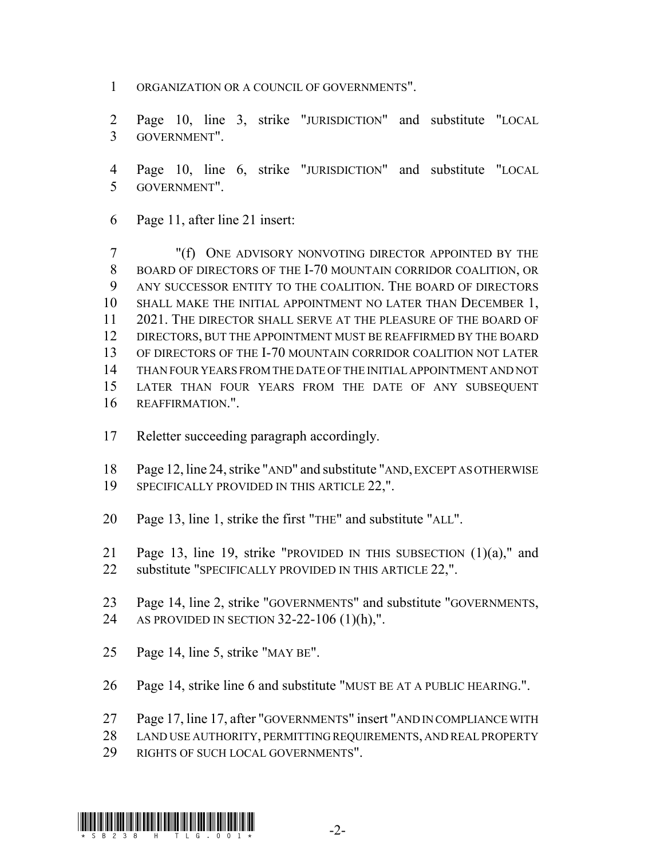- ORGANIZATION OR A COUNCIL OF GOVERNMENTS".
- Page 10, line 3, strike "JURISDICTION" and substitute "LOCAL GOVERNMENT".
- Page 10, line 6, strike "JURISDICTION" and substitute "LOCAL GOVERNMENT".
- Page 11, after line 21 insert:

 "(f) ONE ADVISORY NONVOTING DIRECTOR APPOINTED BY THE BOARD OF DIRECTORS OF THE I-70 MOUNTAIN CORRIDOR COALITION, OR ANY SUCCESSOR ENTITY TO THE COALITION. THE BOARD OF DIRECTORS 10 SHALL MAKE THE INITIAL APPOINTMENT NO LATER THAN DECEMBER 1, 2021. THE DIRECTOR SHALL SERVE AT THE PLEASURE OF THE BOARD OF DIRECTORS, BUT THE APPOINTMENT MUST BE REAFFIRMED BY THE BOARD OF DIRECTORS OF THE I-70 MOUNTAIN CORRIDOR COALITION NOT LATER THAN FOUR YEARS FROM THE DATE OF THE INITIAL APPOINTMENT AND NOT LATER THAN FOUR YEARS FROM THE DATE OF ANY SUBSEQUENT REAFFIRMATION.".

- Reletter succeeding paragraph accordingly.
- Page 12, line 24, strike "AND" and substitute "AND, EXCEPT AS OTHERWISE
- 19 SPECIFICALLY PROVIDED IN THIS ARTICLE 22,".
- Page 13, line 1, strike the first "THE" and substitute "ALL".
- Page 13, line 19, strike "PROVIDED IN THIS SUBSECTION (1)(a)," and 22 substitute "SPECIFICALLY PROVIDED IN THIS ARTICLE 22,".
- Page 14, line 2, strike "GOVERNMENTS" and substitute "GOVERNMENTS, AS PROVIDED IN SECTION 32-22-106 (1)(h),".
- Page 14, line 5, strike "MAY BE".
- Page 14, strike line 6 and substitute "MUST BE AT A PUBLIC HEARING.".
- Page 17, line 17, after "GOVERNMENTS" insert "AND IN COMPLIANCE WITH
- LAND USE AUTHORITY, PERMITTING REQUIREMENTS, AND REAL PROPERTY
- RIGHTS OF SUCH LOCAL GOVERNMENTS".